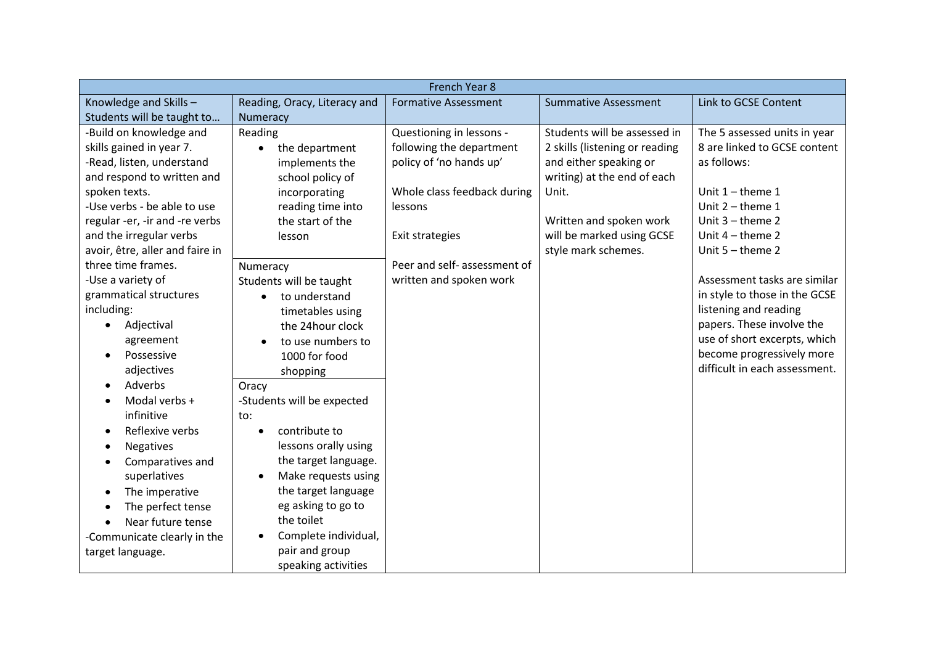| French Year 8                   |                                   |                              |                                |                               |  |  |
|---------------------------------|-----------------------------------|------------------------------|--------------------------------|-------------------------------|--|--|
| Knowledge and Skills-           | Reading, Oracy, Literacy and      | <b>Formative Assessment</b>  | <b>Summative Assessment</b>    | Link to GCSE Content          |  |  |
| Students will be taught to      | Numeracy                          |                              |                                |                               |  |  |
| -Build on knowledge and         | Reading                           | Questioning in lessons -     | Students will be assessed in   | The 5 assessed units in year  |  |  |
| skills gained in year 7.        | the department                    | following the department     | 2 skills (listening or reading | 8 are linked to GCSE content  |  |  |
| -Read, listen, understand       | implements the                    | policy of 'no hands up'      | and either speaking or         | as follows:                   |  |  |
| and respond to written and      | school policy of                  |                              | writing) at the end of each    |                               |  |  |
| spoken texts.                   | incorporating                     | Whole class feedback during  | Unit.                          | Unit $1$ – theme $1$          |  |  |
| -Use verbs - be able to use     | reading time into                 | lessons                      |                                | Unit $2$ – theme 1            |  |  |
| regular -er, -ir and -re verbs  | the start of the                  |                              | Written and spoken work        | Unit $3$ – theme $2$          |  |  |
| and the irregular verbs         | lesson                            | Exit strategies              | will be marked using GCSE      | Unit $4$ – theme 2            |  |  |
| avoir, être, aller and faire in |                                   |                              | style mark schemes.            | Unit $5 -$ theme 2            |  |  |
| three time frames.              | Numeracy                          | Peer and self- assessment of |                                |                               |  |  |
| -Use a variety of               | Students will be taught           | written and spoken work      |                                | Assessment tasks are similar  |  |  |
| grammatical structures          | to understand                     |                              |                                | in style to those in the GCSE |  |  |
| including:                      | timetables using                  |                              |                                | listening and reading         |  |  |
| Adjectival<br>$\bullet$         | the 24hour clock                  |                              |                                | papers. These involve the     |  |  |
| agreement                       | to use numbers to                 |                              |                                | use of short excerpts, which  |  |  |
| Possessive                      | 1000 for food                     |                              |                                | become progressively more     |  |  |
| adjectives                      | shopping                          |                              |                                | difficult in each assessment. |  |  |
| Adverbs                         | Oracy                             |                              |                                |                               |  |  |
| Modal verbs +                   | -Students will be expected        |                              |                                |                               |  |  |
| infinitive                      | to:                               |                              |                                |                               |  |  |
| Reflexive verbs<br>$\epsilon$   | contribute to<br>$\bullet$        |                              |                                |                               |  |  |
| Negatives<br>$\bullet$          | lessons orally using              |                              |                                |                               |  |  |
| Comparatives and                | the target language.              |                              |                                |                               |  |  |
| superlatives                    | Make requests using<br>$\bullet$  |                              |                                |                               |  |  |
| The imperative<br>$\bullet$     | the target language               |                              |                                |                               |  |  |
| The perfect tense<br>$\bullet$  | eg asking to go to                |                              |                                |                               |  |  |
| Near future tense               | the toilet                        |                              |                                |                               |  |  |
| -Communicate clearly in the     | Complete individual,<br>$\bullet$ |                              |                                |                               |  |  |
| target language.                | pair and group                    |                              |                                |                               |  |  |
|                                 | speaking activities               |                              |                                |                               |  |  |